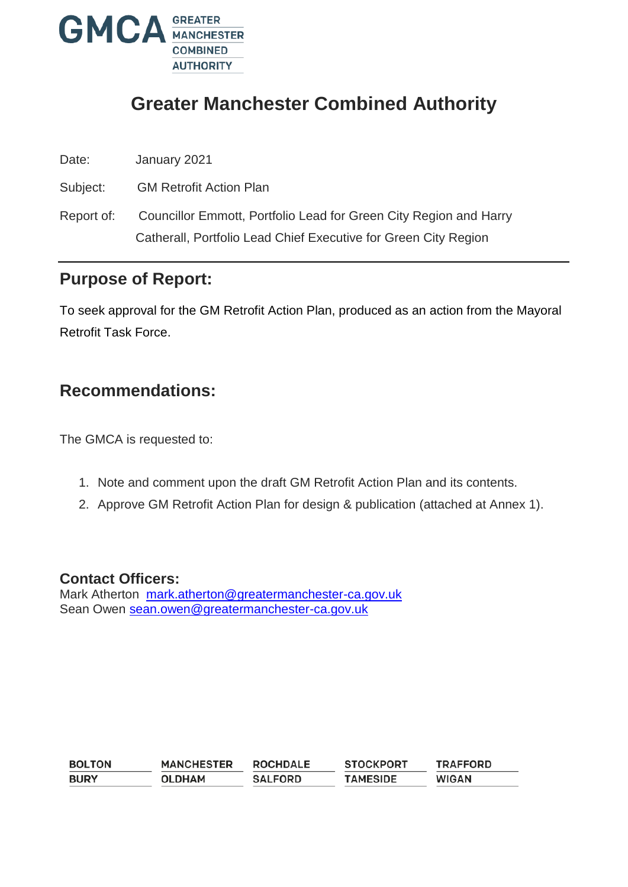

# **Greater Manchester Combined Authority**

Date: January 2021

Subject: GM Retrofit Action Plan

Report of: Councillor Emmott, Portfolio Lead for Green City Region and Harry Catherall, Portfolio Lead Chief Executive for Green City Region

## **Purpose of Report:**

To seek approval for the GM Retrofit Action Plan, produced as an action from the Mayoral Retrofit Task Force.

## **Recommendations:**

The GMCA is requested to:

- 1. Note and comment upon the draft GM Retrofit Action Plan and its contents.
- 2. Approve GM Retrofit Action Plan for design & publication (attached at Annex 1).

#### **Contact Officers:**

Mark Atherton [mark.atherton@greatermanchester-ca.gov.uk](mailto:mark.atherton@greatermanchester-ca.gov.uk) Sean Owen [sean.owen@greatermanchester-ca.gov.uk](mailto:sean.owen@greatermanchester-ca.gov.uk)

| <b>BOLTON</b> | <b>MANCHESTER</b> | <b>ROCHDALE</b> | <b>STOCKPORT</b> | <b>TRAFFORD</b> |
|---------------|-------------------|-----------------|------------------|-----------------|
| <b>BURY</b>   | <b>OLDHAM</b>     | <b>SALFORD</b>  | <b>TAMESIDE</b>  | <b>WIGAN</b>    |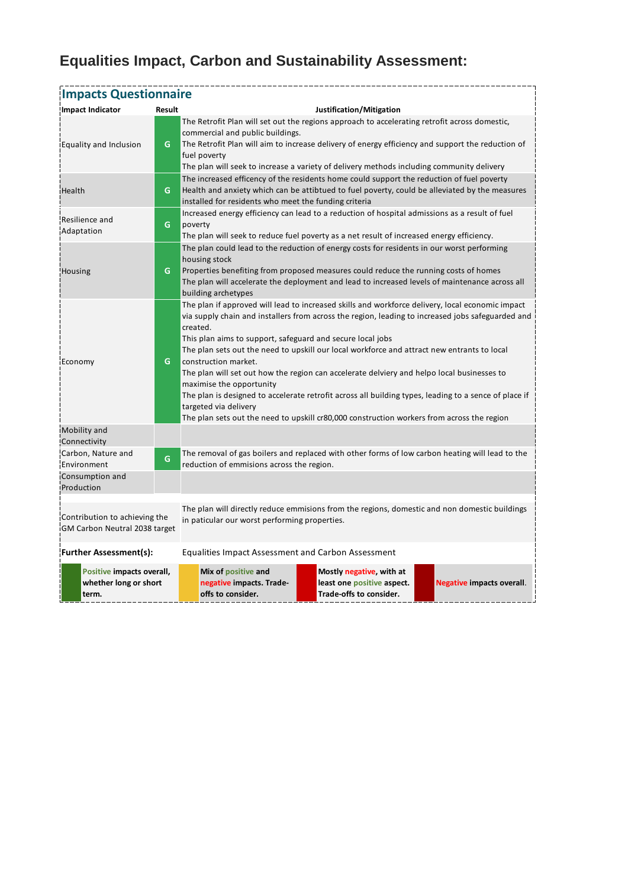# **Equalities Impact, Carbon and Sustainability Assessment:**

| <b>Impacts Questionnaire</b>                                   |        |                                                                                                                                                                                                                                                                                                                                                                                                                                                                                                                                                                                                                                                                                                                                                                  |                                                                                   |                                  |  |  |  |
|----------------------------------------------------------------|--------|------------------------------------------------------------------------------------------------------------------------------------------------------------------------------------------------------------------------------------------------------------------------------------------------------------------------------------------------------------------------------------------------------------------------------------------------------------------------------------------------------------------------------------------------------------------------------------------------------------------------------------------------------------------------------------------------------------------------------------------------------------------|-----------------------------------------------------------------------------------|----------------------------------|--|--|--|
| Impact Indicator                                               | Result | Justification/Mitigation                                                                                                                                                                                                                                                                                                                                                                                                                                                                                                                                                                                                                                                                                                                                         |                                                                                   |                                  |  |  |  |
| <b>Equality and Inclusion</b>                                  | G.     | The Retrofit Plan will set out the regions approach to accelerating retrofit across domestic,<br>commercial and public buildings.<br>The Retrofit Plan will aim to increase delivery of energy efficiency and support the reduction of<br>fuel poverty<br>The plan will seek to increase a variety of delivery methods including community delivery                                                                                                                                                                                                                                                                                                                                                                                                              |                                                                                   |                                  |  |  |  |
| Health                                                         | G      | The increased efficency of the residents home could support the reduction of fuel poverty<br>Health and anxiety which can be attibtued to fuel poverty, could be alleviated by the measures<br>installed for residents who meet the funding criteria                                                                                                                                                                                                                                                                                                                                                                                                                                                                                                             |                                                                                   |                                  |  |  |  |
| Resilience and<br>Adaptation                                   | G.     | Increased energy efficiency can lead to a reduction of hospital admissions as a result of fuel<br>poverty<br>The plan will seek to reduce fuel poverty as a net result of increased energy efficiency.                                                                                                                                                                                                                                                                                                                                                                                                                                                                                                                                                           |                                                                                   |                                  |  |  |  |
| <b>Housing</b>                                                 | G.     | The plan could lead to the reduction of energy costs for residents in our worst performing<br>housing stock<br>Properties benefiting from proposed measures could reduce the running costs of homes<br>The plan will accelerate the deployment and lead to increased levels of maintenance across all<br>building archetypes                                                                                                                                                                                                                                                                                                                                                                                                                                     |                                                                                   |                                  |  |  |  |
| Economy                                                        | G.     | The plan if approved will lead to increased skills and workforce delivery, local economic impact<br>via supply chain and installers from across the region, leading to increased jobs safeguarded and<br>created.<br>This plan aims to support, safeguard and secure local jobs<br>The plan sets out the need to upskill our local workforce and attract new entrants to local<br>construction market.<br>The plan will set out how the region can accelerate delviery and helpo local businesses to<br>maximise the opportunity<br>The plan is designed to accelerate retrofit across all building types, leading to a sence of place if<br>targeted via delivery<br>The plan sets out the need to upskill cr80,000 construction workers from across the region |                                                                                   |                                  |  |  |  |
| Mobility and<br>Connectivity                                   |        |                                                                                                                                                                                                                                                                                                                                                                                                                                                                                                                                                                                                                                                                                                                                                                  |                                                                                   |                                  |  |  |  |
| Carbon, Nature and<br>Environment                              | G      | The removal of gas boilers and replaced with other forms of low carbon heating will lead to the<br>reduction of emmisions across the region.                                                                                                                                                                                                                                                                                                                                                                                                                                                                                                                                                                                                                     |                                                                                   |                                  |  |  |  |
| Consumption and<br>Production                                  |        |                                                                                                                                                                                                                                                                                                                                                                                                                                                                                                                                                                                                                                                                                                                                                                  |                                                                                   |                                  |  |  |  |
| Contribution to achieving the<br>GM Carbon Neutral 2038 target |        | The plan will directly reduce emmisions from the regions, domestic and non domestic buildings<br>in paticular our worst performing properties.                                                                                                                                                                                                                                                                                                                                                                                                                                                                                                                                                                                                                   |                                                                                   |                                  |  |  |  |
| <b>Further Assessment(s):</b>                                  |        | <b>Equalities Impact Assessment and Carbon Assessment</b>                                                                                                                                                                                                                                                                                                                                                                                                                                                                                                                                                                                                                                                                                                        |                                                                                   |                                  |  |  |  |
| Positive impacts overall,<br>whether long or short<br>term.    |        | Mix of positive and<br>negative impacts. Trade-<br>offs to consider.                                                                                                                                                                                                                                                                                                                                                                                                                                                                                                                                                                                                                                                                                             | Mostly negative, with at<br>least one positive aspect.<br>Trade-offs to consider. | <b>Negative impacts overall.</b> |  |  |  |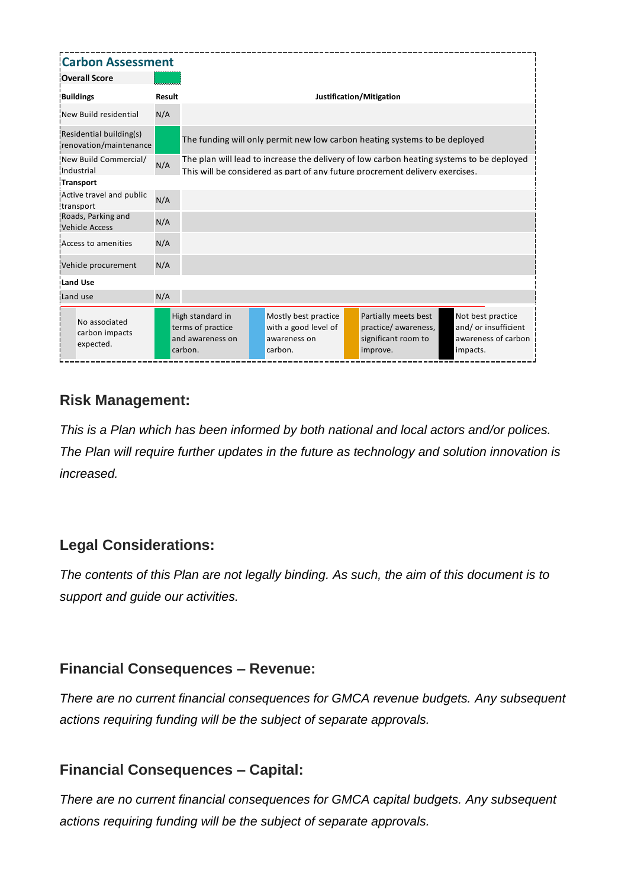| <b>Carbon Assessment</b>                          |               |                                                                      |  |                                                                         |  |                                                                                                                                                                          |                                                                              |  |
|---------------------------------------------------|---------------|----------------------------------------------------------------------|--|-------------------------------------------------------------------------|--|--------------------------------------------------------------------------------------------------------------------------------------------------------------------------|------------------------------------------------------------------------------|--|
| <b>Overall Score</b>                              |               |                                                                      |  |                                                                         |  |                                                                                                                                                                          |                                                                              |  |
| <b>Buildings</b>                                  | <b>Result</b> |                                                                      |  |                                                                         |  | Justification/Mitigation                                                                                                                                                 |                                                                              |  |
| New Build residential                             | N/A           |                                                                      |  |                                                                         |  |                                                                                                                                                                          |                                                                              |  |
| Residential building(s)<br>renovation/maintenance |               |                                                                      |  |                                                                         |  | The funding will only permit new low carbon heating systems to be deployed                                                                                               |                                                                              |  |
| New Build Commercial/<br>Industrial               | N/A           |                                                                      |  |                                                                         |  | The plan will lead to increase the delivery of low carbon heating systems to be deployed<br>This will be considered as part of any future procrement delivery exercises. |                                                                              |  |
| Transport                                         |               |                                                                      |  |                                                                         |  |                                                                                                                                                                          |                                                                              |  |
| Active travel and public<br>transport             | N/A           |                                                                      |  |                                                                         |  |                                                                                                                                                                          |                                                                              |  |
| Roads, Parking and<br><b>Vehicle Access</b>       | N/A           |                                                                      |  |                                                                         |  |                                                                                                                                                                          |                                                                              |  |
| Access to amenities                               | N/A           |                                                                      |  |                                                                         |  |                                                                                                                                                                          |                                                                              |  |
| Vehicle procurement                               | N/A           |                                                                      |  |                                                                         |  |                                                                                                                                                                          |                                                                              |  |
| <b>Land Use</b>                                   |               |                                                                      |  |                                                                         |  |                                                                                                                                                                          |                                                                              |  |
| Land use                                          | N/A           |                                                                      |  |                                                                         |  |                                                                                                                                                                          |                                                                              |  |
| No associated<br>carbon impacts<br>expected.      |               | High standard in<br>terms of practice<br>and awareness on<br>carbon. |  | Mostly best practice<br>with a good level of<br>awareness on<br>carbon. |  | Partially meets best<br>practice/ awareness,<br>significant room to<br>improve.                                                                                          | Not best practice<br>and/ or insufficient<br>awareness of carbon<br>impacts. |  |

### **Risk Management:**

*This is a Plan which has been informed by both national and local actors and/or polices. The Plan will require further updates in the future as technology and solution innovation is increased.* 

### **Legal Considerations:**

*The contents of this Plan are not legally binding. As such, the aim of this document is to support and guide our activities.*

#### **Financial Consequences – Revenue:**

*There are no current financial consequences for GMCA revenue budgets. Any subsequent actions requiring funding will be the subject of separate approvals.*

### **Financial Consequences – Capital:**

*There are no current financial consequences for GMCA capital budgets. Any subsequent actions requiring funding will be the subject of separate approvals.*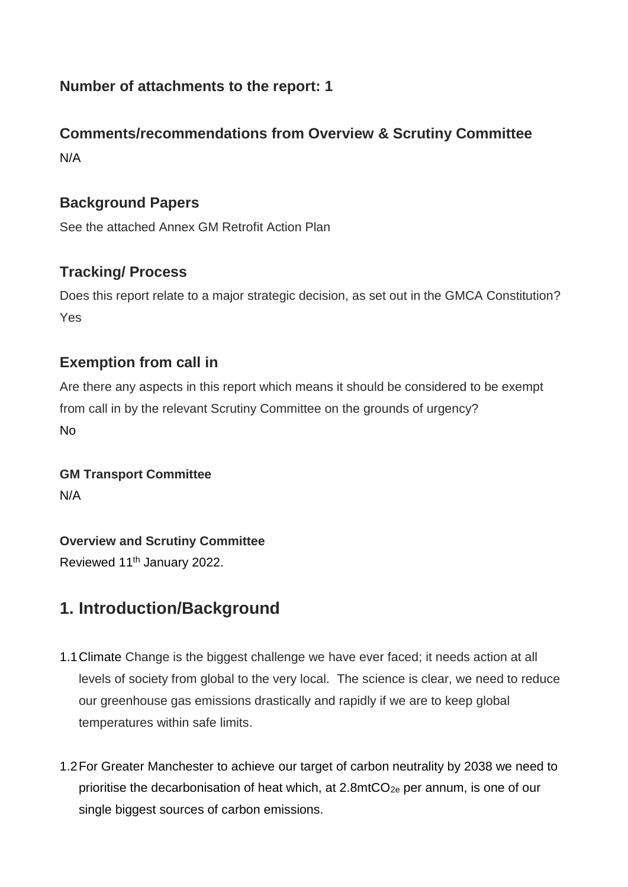### **Number of attachments to the report: 1**

## **Comments/recommendations from Overview & Scrutiny Committee**  N/A

#### **Background Papers**

See the attached Annex GM Retrofit Action Plan

#### **Tracking/ Process**

Does this report relate to a major strategic decision, as set out in the GMCA Constitution? Yes

#### **Exemption from call in**

Are there any aspects in this report which means it should be considered to be exempt from call in by the relevant Scrutiny Committee on the grounds of urgency? No

#### **GM Transport Committee** N/A

#### **Overview and Scrutiny Committee**

Reviewed 11<sup>th</sup> January 2022.

## **1. Introduction/Background**

- 1.1Climate Change is the biggest challenge we have ever faced; it needs action at all levels of society from global to the very local. The science is clear, we need to reduce our greenhouse gas emissions drastically and rapidly if we are to keep global temperatures within safe limits.
- 1.2For Greater Manchester to achieve our target of carbon neutrality by 2038 we need to prioritise the decarbonisation of heat which, at 2.8mtCO2e per annum, is one of our single biggest sources of carbon emissions.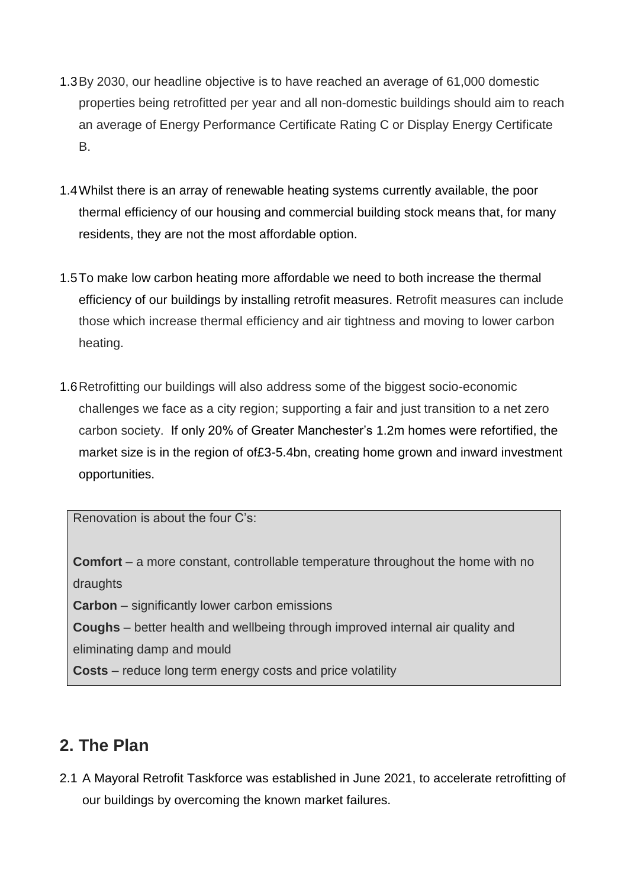- 1.3By 2030, our headline objective is to have reached an average of 61,000 domestic properties being retrofitted per year and all non-domestic buildings should aim to reach an average of Energy Performance Certificate Rating C or Display Energy Certificate B.
- 1.4Whilst there is an array of renewable heating systems currently available, the poor thermal efficiency of our housing and commercial building stock means that, for many residents, they are not the most affordable option.
- 1.5To make low carbon heating more affordable we need to both increase the thermal efficiency of our buildings by installing retrofit measures. Retrofit measures can include those which increase thermal efficiency and air tightness and moving to lower carbon heating.
- 1.6Retrofitting our buildings will also address some of the biggest socio-economic challenges we face as a city region; supporting a fair and just transition to a net zero carbon society. If only 20% of Greater Manchester's 1.2m homes were refortified, the market size is in the region of of£3-5.4bn, creating home grown and inward investment opportunities.

Renovation is about the four C's:

**Comfort** – a more constant, controllable temperature throughout the home with no draughts

**Carbon** – significantly lower carbon emissions

**Coughs** – better health and wellbeing through improved internal air quality and

eliminating damp and mould

**Costs** – reduce long term energy costs and price volatility

## **2. The Plan**

2.1 A Mayoral Retrofit Taskforce was established in June 2021, to accelerate retrofitting of our buildings by overcoming the known market failures.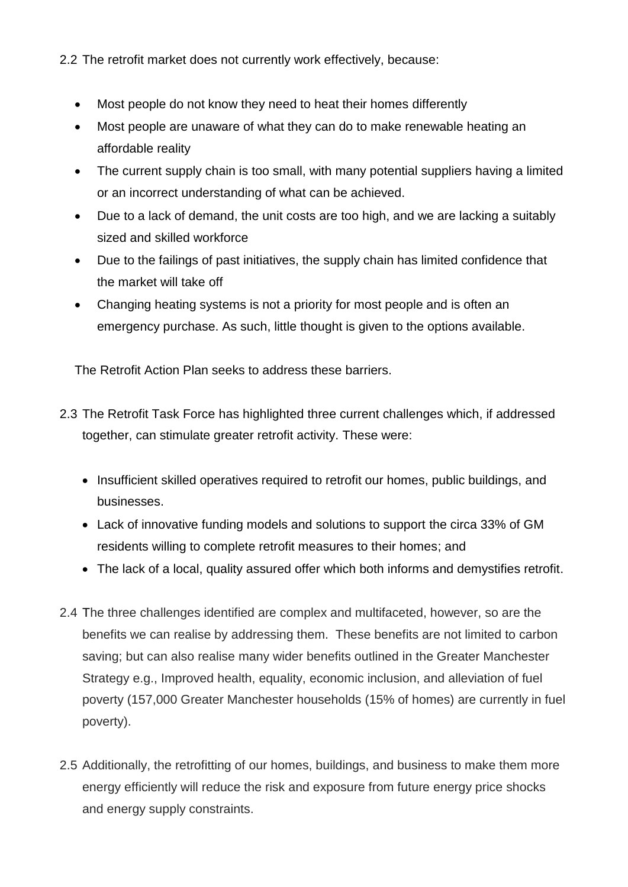2.2 The retrofit market does not currently work effectively, because:

- Most people do not know they need to heat their homes differently
- Most people are unaware of what they can do to make renewable heating an affordable reality
- The current supply chain is too small, with many potential suppliers having a limited or an incorrect understanding of what can be achieved.
- Due to a lack of demand, the unit costs are too high, and we are lacking a suitably sized and skilled workforce
- Due to the failings of past initiatives, the supply chain has limited confidence that the market will take off
- Changing heating systems is not a priority for most people and is often an emergency purchase. As such, little thought is given to the options available.

The Retrofit Action Plan seeks to address these barriers.

- 2.3 The Retrofit Task Force has highlighted three current challenges which, if addressed together, can stimulate greater retrofit activity. These were:
	- Insufficient skilled operatives required to retrofit our homes, public buildings, and businesses.
	- Lack of innovative funding models and solutions to support the circa 33% of GM residents willing to complete retrofit measures to their homes; and
	- The lack of a local, quality assured offer which both informs and demystifies retrofit.
- 2.4 The three challenges identified are complex and multifaceted, however, so are the benefits we can realise by addressing them. These benefits are not limited to carbon saving; but can also realise many wider benefits outlined in the Greater Manchester Strategy e.g., Improved health, equality, economic inclusion, and alleviation of fuel poverty (157,000 Greater Manchester households (15% of homes) are currently in fuel poverty).
- 2.5 Additionally, the retrofitting of our homes, buildings, and business to make them more energy efficiently will reduce the risk and exposure from future energy price shocks and energy supply constraints.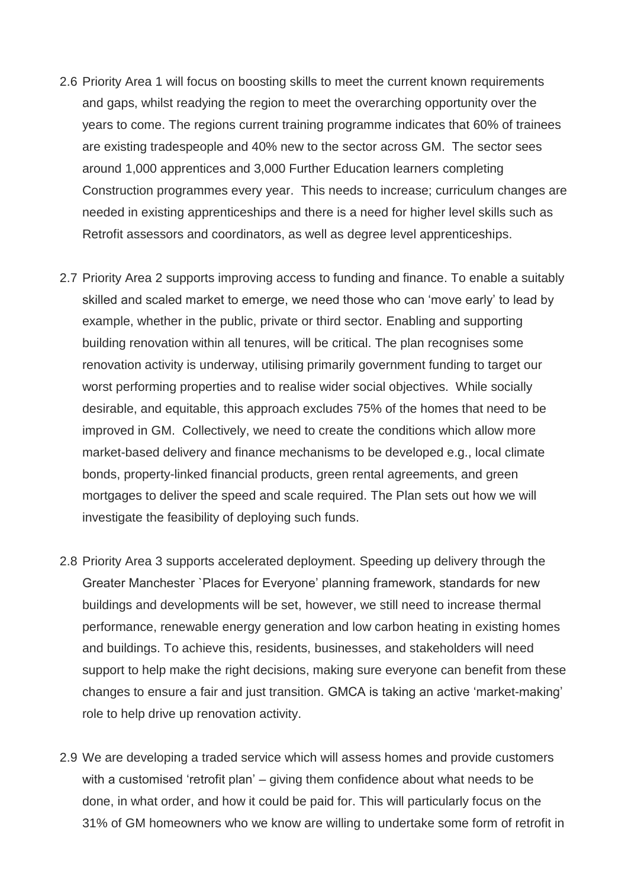- 2.6 Priority Area 1 will focus on boosting skills to meet the current known requirements and gaps, whilst readying the region to meet the overarching opportunity over the years to come. The regions current training programme indicates that 60% of trainees are existing tradespeople and 40% new to the sector across GM. The sector sees around 1,000 apprentices and 3,000 Further Education learners completing Construction programmes every year. This needs to increase; curriculum changes are needed in existing apprenticeships and there is a need for higher level skills such as Retrofit assessors and coordinators, as well as degree level apprenticeships.
- 2.7 Priority Area 2 supports improving access to funding and finance. To enable a suitably skilled and scaled market to emerge, we need those who can 'move early' to lead by example, whether in the public, private or third sector. Enabling and supporting building renovation within all tenures, will be critical. The plan recognises some renovation activity is underway, utilising primarily government funding to target our worst performing properties and to realise wider social objectives. While socially desirable, and equitable, this approach excludes 75% of the homes that need to be improved in GM. Collectively, we need to create the conditions which allow more market-based delivery and finance mechanisms to be developed e.g., local climate bonds, property-linked financial products, green rental agreements, and green mortgages to deliver the speed and scale required. The Plan sets out how we will investigate the feasibility of deploying such funds.
- 2.8 Priority Area 3 supports accelerated deployment. Speeding up delivery through the Greater Manchester `Places for Everyone' planning framework, standards for new buildings and developments will be set, however, we still need to increase thermal performance, renewable energy generation and low carbon heating in existing homes and buildings. To achieve this, residents, businesses, and stakeholders will need support to help make the right decisions, making sure everyone can benefit from these changes to ensure a fair and just transition. GMCA is taking an active 'market-making' role to help drive up renovation activity.
- 2.9 We are developing a traded service which will assess homes and provide customers with a customised 'retrofit plan' – giving them confidence about what needs to be done, in what order, and how it could be paid for. This will particularly focus on the 31% of GM homeowners who we know are willing to undertake some form of retrofit in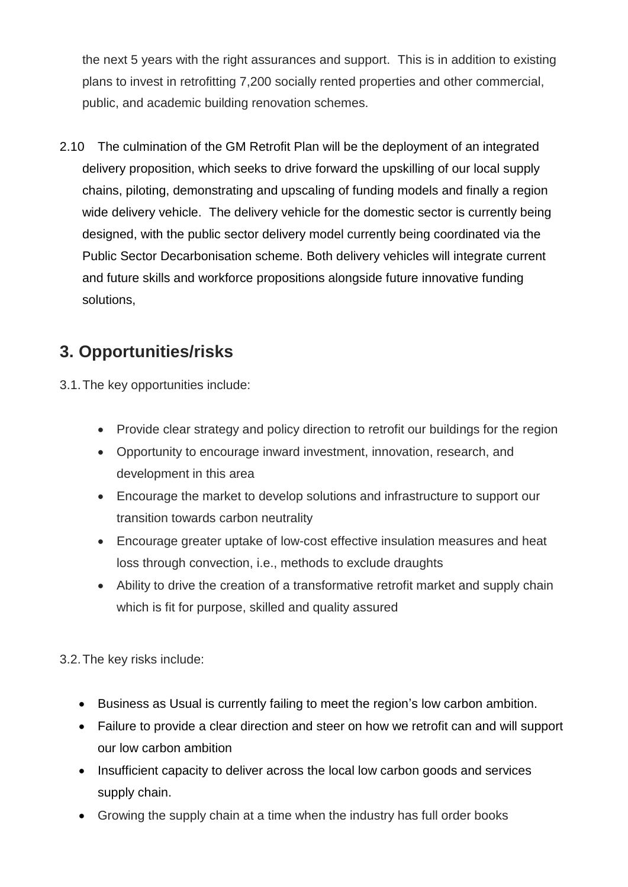the next 5 years with the right assurances and support. This is in addition to existing plans to invest in retrofitting 7,200 socially rented properties and other commercial, public, and academic building renovation schemes.

2.10 The culmination of the GM Retrofit Plan will be the deployment of an integrated delivery proposition, which seeks to drive forward the upskilling of our local supply chains, piloting, demonstrating and upscaling of funding models and finally a region wide delivery vehicle. The delivery vehicle for the domestic sector is currently being designed, with the public sector delivery model currently being coordinated via the Public Sector Decarbonisation scheme. Both delivery vehicles will integrate current and future skills and workforce propositions alongside future innovative funding solutions,

# **3. Opportunities/risks**

3.1.The key opportunities include:

- Provide clear strategy and policy direction to retrofit our buildings for the region
- Opportunity to encourage inward investment, innovation, research, and development in this area
- Encourage the market to develop solutions and infrastructure to support our transition towards carbon neutrality
- Encourage greater uptake of low-cost effective insulation measures and heat loss through convection, i.e., methods to exclude draughts
- Ability to drive the creation of a transformative retrofit market and supply chain which is fit for purpose, skilled and quality assured

3.2.The key risks include:

- Business as Usual is currently failing to meet the region's low carbon ambition.
- Failure to provide a clear direction and steer on how we retrofit can and will support our low carbon ambition
- Insufficient capacity to deliver across the local low carbon goods and services supply chain.
- Growing the supply chain at a time when the industry has full order books